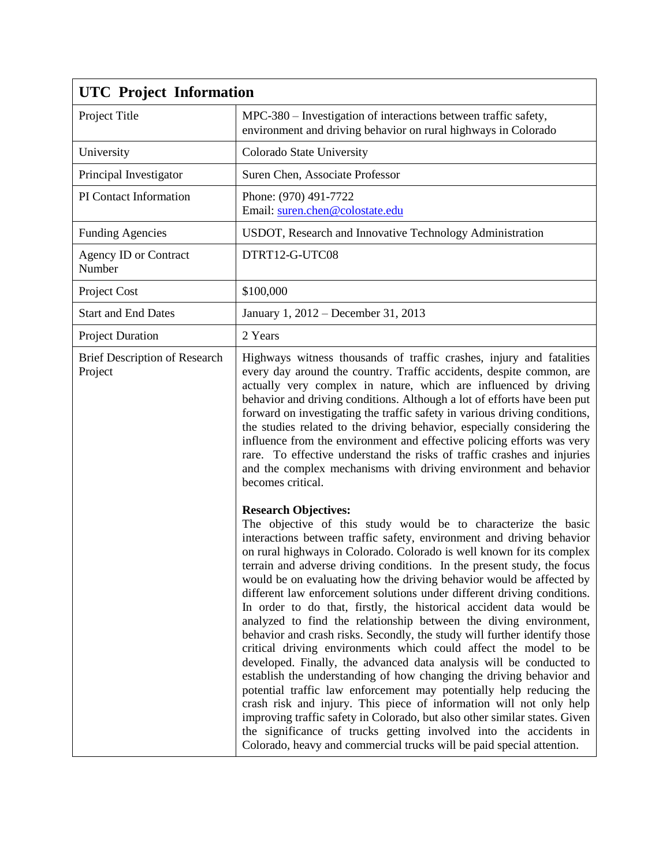| <b>UTC</b> Project Information                  |                                                                                                                                                                                                                                                                                                                                                                                                                                                                                                                                                                                                                                                                                                                                                                                                                                                                                                                                                                                                                                                                                                                                                                                                                                                                                                     |
|-------------------------------------------------|-----------------------------------------------------------------------------------------------------------------------------------------------------------------------------------------------------------------------------------------------------------------------------------------------------------------------------------------------------------------------------------------------------------------------------------------------------------------------------------------------------------------------------------------------------------------------------------------------------------------------------------------------------------------------------------------------------------------------------------------------------------------------------------------------------------------------------------------------------------------------------------------------------------------------------------------------------------------------------------------------------------------------------------------------------------------------------------------------------------------------------------------------------------------------------------------------------------------------------------------------------------------------------------------------------|
| Project Title                                   | MPC-380 – Investigation of interactions between traffic safety,<br>environment and driving behavior on rural highways in Colorado                                                                                                                                                                                                                                                                                                                                                                                                                                                                                                                                                                                                                                                                                                                                                                                                                                                                                                                                                                                                                                                                                                                                                                   |
| University                                      | Colorado State University                                                                                                                                                                                                                                                                                                                                                                                                                                                                                                                                                                                                                                                                                                                                                                                                                                                                                                                                                                                                                                                                                                                                                                                                                                                                           |
| Principal Investigator                          | Suren Chen, Associate Professor                                                                                                                                                                                                                                                                                                                                                                                                                                                                                                                                                                                                                                                                                                                                                                                                                                                                                                                                                                                                                                                                                                                                                                                                                                                                     |
| PI Contact Information                          | Phone: (970) 491-7722<br>Email: suren.chen@colostate.edu                                                                                                                                                                                                                                                                                                                                                                                                                                                                                                                                                                                                                                                                                                                                                                                                                                                                                                                                                                                                                                                                                                                                                                                                                                            |
| <b>Funding Agencies</b>                         | USDOT, Research and Innovative Technology Administration                                                                                                                                                                                                                                                                                                                                                                                                                                                                                                                                                                                                                                                                                                                                                                                                                                                                                                                                                                                                                                                                                                                                                                                                                                            |
| <b>Agency ID or Contract</b><br>Number          | DTRT12-G-UTC08                                                                                                                                                                                                                                                                                                                                                                                                                                                                                                                                                                                                                                                                                                                                                                                                                                                                                                                                                                                                                                                                                                                                                                                                                                                                                      |
| Project Cost                                    | \$100,000                                                                                                                                                                                                                                                                                                                                                                                                                                                                                                                                                                                                                                                                                                                                                                                                                                                                                                                                                                                                                                                                                                                                                                                                                                                                                           |
| <b>Start and End Dates</b>                      | January 1, 2012 – December 31, 2013                                                                                                                                                                                                                                                                                                                                                                                                                                                                                                                                                                                                                                                                                                                                                                                                                                                                                                                                                                                                                                                                                                                                                                                                                                                                 |
| <b>Project Duration</b>                         | 2 Years                                                                                                                                                                                                                                                                                                                                                                                                                                                                                                                                                                                                                                                                                                                                                                                                                                                                                                                                                                                                                                                                                                                                                                                                                                                                                             |
| <b>Brief Description of Research</b><br>Project | Highways witness thousands of traffic crashes, injury and fatalities<br>every day around the country. Traffic accidents, despite common, are<br>actually very complex in nature, which are influenced by driving<br>behavior and driving conditions. Although a lot of efforts have been put<br>forward on investigating the traffic safety in various driving conditions,<br>the studies related to the driving behavior, especially considering the<br>influence from the environment and effective policing efforts was very<br>rare. To effective understand the risks of traffic crashes and injuries<br>and the complex mechanisms with driving environment and behavior<br>becomes critical.                                                                                                                                                                                                                                                                                                                                                                                                                                                                                                                                                                                                 |
|                                                 | <b>Research Objectives:</b><br>The objective of this study would be to characterize the basic<br>interactions between traffic safety, environment and driving behavior<br>on rural highways in Colorado. Colorado is well known for its complex<br>terrain and adverse driving conditions. In the present study, the focus<br>would be on evaluating how the driving behavior would be affected by<br>different law enforcement solutions under different driving conditions.<br>In order to do that, firstly, the historical accident data would be<br>analyzed to find the relationship between the diving environment,<br>behavior and crash risks. Secondly, the study will further identify those<br>critical driving environments which could affect the model to be<br>developed. Finally, the advanced data analysis will be conducted to<br>establish the understanding of how changing the driving behavior and<br>potential traffic law enforcement may potentially help reducing the<br>crash risk and injury. This piece of information will not only help<br>improving traffic safety in Colorado, but also other similar states. Given<br>the significance of trucks getting involved into the accidents in<br>Colorado, heavy and commercial trucks will be paid special attention. |